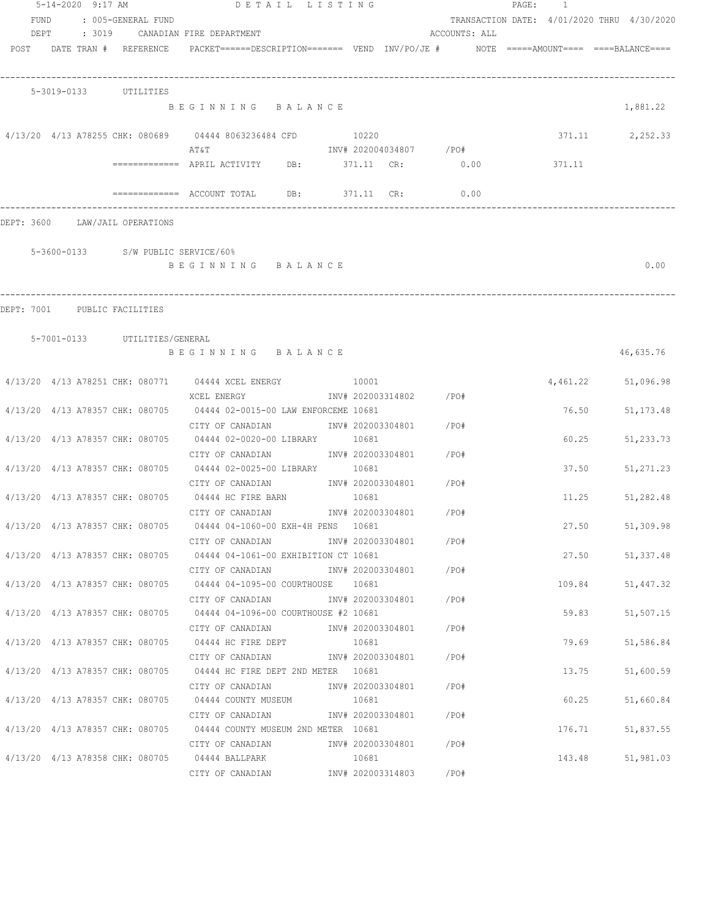| FUND | 5-14-2020 9:17 AM | : 005-GENERAL FUND             | DETAIL LISTING                                                                                  |       |                        |                         | PAGE: 1 |        | TRANSACTION DATE: 4/01/2020 THRU 4/30/2020 |
|------|-------------------|--------------------------------|-------------------------------------------------------------------------------------------------|-------|------------------------|-------------------------|---------|--------|--------------------------------------------|
| DEPT |                   |                                | : 3019     CANADIAN FIRE DEPARTMENT                                                             |       |                        | ACCOUNTS: ALL           |         |        |                                            |
|      |                   | POST DATE TRAN # REFERENCE     | $PACKET == == = DESCRIPTION == == == $ VEND $INV/PO/JE$ # $NOTE$ =====AMOUNT==== ===BALANCE==== |       |                        |                         |         |        |                                            |
|      |                   | 5-3019-0133 UTILITIES          |                                                                                                 |       |                        |                         |         |        |                                            |
|      |                   |                                | BEGINNING BALANCE                                                                               |       |                        |                         |         |        | 1,881.22                                   |
|      |                   |                                | 4/13/20 4/13 A78255 CHK: 080689 04444 8063236484 CFD<br>ΑΤ&Τ                                    | 10220 |                        | INV# 202004034807 / PO# |         | 371.11 | 2,252.33                                   |
|      |                   |                                | ============ APRIL ACTIVITY DB: 371.11 CR: 0.00                                                 |       |                        |                         | 371.11  |        |                                            |
|      |                   |                                | $\texttt{-----}$ ============= ACCOUNT TOTAL DB: 371.11 CR:                                     |       |                        | 0.00                    |         |        |                                            |
|      |                   | DEPT: 3600 LAW/JAIL OPERATIONS |                                                                                                 |       |                        |                         |         |        |                                            |
|      |                   |                                | 5-3600-0133 S/W PUBLIC SERVICE/60%                                                              |       |                        |                         |         |        |                                            |
|      |                   |                                | BEGINNING BALANCE                                                                               |       |                        |                         |         |        | 0.00                                       |
|      |                   |                                |                                                                                                 |       |                        |                         |         |        |                                            |
|      |                   | DEPT: 7001 PUBLIC FACILITIES   |                                                                                                 |       |                        |                         |         |        |                                            |
|      |                   |                                |                                                                                                 |       |                        |                         |         |        |                                            |
|      |                   | 5-7001-0133 UTILITIES/GENERAL  |                                                                                                 |       |                        |                         |         |        |                                            |
|      |                   |                                | BEGINNING BALANCE                                                                               |       |                        |                         |         |        | 46,635.76                                  |
|      |                   |                                | 4/13/20 4/13 A78251 CHK: 080771 04444 XCEL ENERGY 10001                                         |       |                        |                         |         |        | 4,461.22 51,096.98                         |
|      |                   |                                | XCEL ENERGY                                                                                     |       | INV# 202003314802 /PO# |                         |         |        |                                            |
|      |                   |                                | 4/13/20 4/13 A78357 CHK: 080705 04444 02-0015-00 LAW ENFORCEME 10681                            |       |                        |                         |         | 76.50  | 51, 173. 48                                |
|      |                   |                                | CITY OF CANADIAN<br>4/13/20 4/13 A78357 CHK: 080705 04444 02-0020-00 LIBRARY 10681              |       | INV# 202003304801 /PO# |                         |         | 60.25  | 51,233.73                                  |
|      |                   |                                | CITY OF CANADIAN                                                                                |       | INV# 202003304801 /PO# |                         |         |        |                                            |
|      |                   |                                | 4/13/20 4/13 A78357 CHK: 080705 04444 02-0025-00 LIBRARY 10681                                  |       |                        |                         |         | 37.50  | 51,271.23                                  |
|      |                   |                                | CITY OF CANADIAN 600 1NV# 202003304801 / PO#                                                    |       |                        |                         |         |        |                                            |
|      |                   |                                | 4/13/20 4/13 A78357 CHK: 080705 04444 HC FIRE BARN                                              | 10681 |                        |                         |         | 11.25  | 51,282.48                                  |
|      |                   |                                | CITY OF CANADIAN                                                                                |       | INV# 202003304801      | /PO#                    |         |        |                                            |
|      |                   |                                | 4/13/20 4/13 A78357 CHK: 080705 04444 04-1060-00 EXH-4H PENS 10681<br>CITY OF CANADIAN          |       | INV# 202003304801 /PO# |                         |         | 27.50  | 51,309.98                                  |
|      |                   |                                | 4/13/20 4/13 A78357 CHK: 080705 04444 04-1061-00 EXHIBITION CT 10681                            |       |                        |                         |         | 27.50  | 51,337.48                                  |
|      |                   |                                | CITY OF CANADIAN                                                                                |       | INV# 202003304801 /PO# |                         |         |        |                                            |
|      |                   |                                | 4/13/20 4/13 A78357 CHK: 080705 04444 04-1095-00 COURTHOUSE 10681                               |       |                        |                         |         | 109.84 | 51,447.32                                  |
|      |                   |                                | CITY OF CANADIAN                                                                                |       | INV# 202003304801 /PO# |                         |         |        |                                            |
|      |                   |                                | 4/13/20 4/13 A78357 CHK: 080705 04444 04-1096-00 COURTHOUSE #2 10681                            |       |                        |                         |         | 59.83  | 51,507.15                                  |
|      |                   |                                | CITY OF CANADIAN                                                                                |       | INV# 202003304801      | /PO#                    |         |        |                                            |
|      |                   |                                | 4/13/20 4/13 A78357 CHK: 080705 04444 HC FIRE DEPT                                              | 10681 |                        |                         |         | 79.69  | 51,586.84                                  |
|      |                   |                                | CITY OF CANADIAN<br>4/13/20 4/13 A78357 CHK: 080705 04444 HC FIRE DEPT 2ND METER 10681          |       | INV# 202003304801      | /PO#                    |         | 13.75  | 51,600.59                                  |
|      |                   |                                | CITY OF CANADIAN                                                                                |       | INV# 202003304801      | /PO#                    |         |        |                                            |
|      |                   |                                | 4/13/20 4/13 A78357 CHK: 080705 04444 COUNTY MUSEUM                                             | 10681 |                        |                         |         | 60.25  | 51,660.84                                  |
|      |                   |                                | CITY OF CANADIAN                                                                                |       | INV# 202003304801      | /PO#                    |         |        |                                            |
|      |                   |                                | 4/13/20 4/13 A78357 CHK: 080705 04444 COUNTY MUSEUM 2ND METER 10681                             |       |                        |                         |         | 176.71 | 51,837.55                                  |
|      |                   |                                | CITY OF CANADIAN                                                                                |       | INV# 202003304801 /PO# |                         |         |        |                                            |
|      |                   |                                | 4/13/20 4/13 A78358 CHK: 080705 04444 BALLPARK                                                  | 10681 |                        |                         |         | 143.48 | 51,981.03                                  |
|      |                   |                                | CITY OF CANADIAN                                                                                |       | INV# 202003314803      | /PO#                    |         |        |                                            |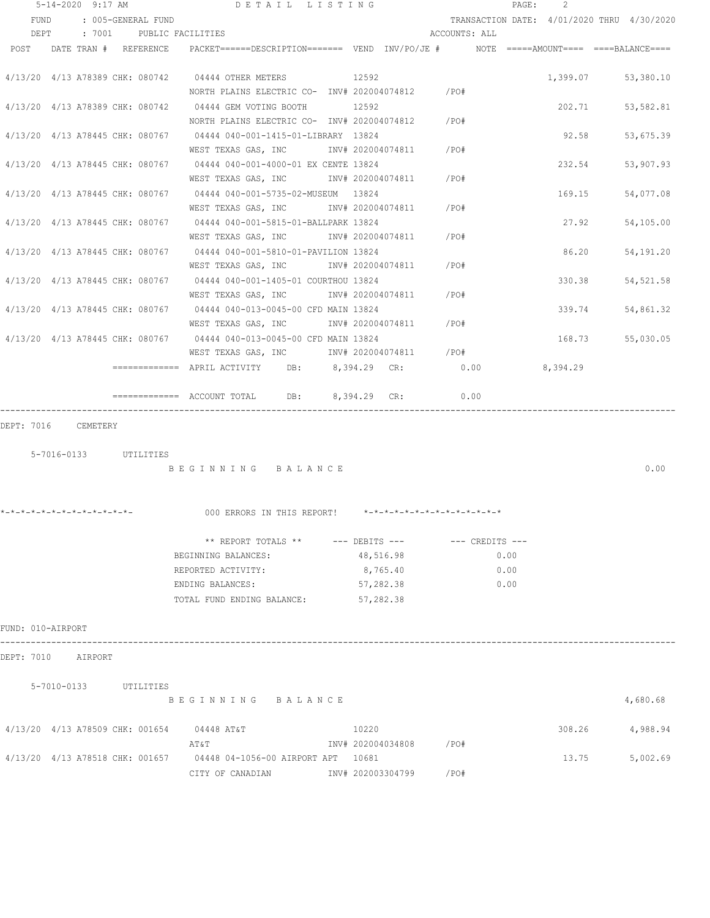|                   | 5-14-2020 9:17 AM   |                            | DETAIL LISTING                                                                                    |                        |                                                     | PAGE:<br>2 |                                            |
|-------------------|---------------------|----------------------------|---------------------------------------------------------------------------------------------------|------------------------|-----------------------------------------------------|------------|--------------------------------------------|
| FUND              |                     | : 005-GENERAL FUND         |                                                                                                   |                        |                                                     |            | TRANSACTION DATE: 4/01/2020 THRU 4/30/2020 |
| DEPT              |                     | : 7001 PUBLIC FACILITIES   |                                                                                                   |                        | ACCOUNTS: ALL                                       |            |                                            |
|                   |                     | POST DATE TRAN # REFERENCE | $\verb PACKET====-DESCRIPTION===== VEND   INV/PO/JE  #   NOTE  == ==+AMOUNT===  == = BALANCE ===$ |                        |                                                     |            |                                            |
|                   |                     |                            | 4/13/20 4/13 A78389 CHK: 080742 04444 OTHER METERS 12592                                          |                        |                                                     |            | 1,399.07 53,380.10                         |
|                   |                     |                            | NORTH PLAINS ELECTRIC CO- INV# 202004074812 / PO#                                                 |                        |                                                     |            |                                            |
|                   |                     |                            | 4/13/20 4/13 A78389 CHK: 080742 04444 GEM VOTING BOOTH                                            | 12592                  |                                                     | 202.71     | 53,582.81                                  |
|                   |                     |                            | NORTH PLAINS ELECTRIC CO- INV# 202004074812 / PO#                                                 |                        |                                                     |            |                                            |
|                   |                     |                            | 4/13/20 4/13 A78445 CHK: 080767 04444 040-001-1415-01-LIBRARY 13824                               |                        |                                                     | 92.58      | 53,675.39                                  |
|                   |                     |                            | WEST TEXAS GAS, INC        INV# 202004074811     /PO#                                             |                        |                                                     |            |                                            |
|                   |                     |                            | 4/13/20 4/13 A78445 CHK: 080767 04444 040-001-4000-01 EX CENTE 13824                              |                        |                                                     | 232.54     | 53,907.93                                  |
|                   |                     |                            | WEST TEXAS GAS, INC NOT INV# 202004074811 / PO#                                                   |                        |                                                     |            |                                            |
|                   |                     |                            | 4/13/20 4/13 A78445 CHK: 080767 04444 040-001-5735-02-MUSEUM 13824                                |                        |                                                     | 169.15     | 54,077.08                                  |
|                   |                     |                            | WEST TEXAS GAS, INC MONTH 202004074811 / PO#                                                      |                        |                                                     |            |                                            |
|                   |                     |                            | 4/13/20 4/13 A78445 CHK: 080767 04444 040-001-5815-01-BALLPARK 13824                              |                        |                                                     | 27.92      | 54,105.00                                  |
|                   |                     |                            | WEST TEXAS GAS, INC MOV# 202004074811 / PO#                                                       |                        |                                                     |            |                                            |
|                   |                     |                            | 4/13/20 4/13 A78445 CHK: 080767 04444 040-001-5810-01-PAVILION 13824                              |                        |                                                     | 86.20      | 54,191.20                                  |
|                   |                     |                            | WEST TEXAS GAS, INC        INV# 202004074811     /PO#                                             |                        |                                                     |            |                                            |
|                   |                     |                            | 4/13/20 4/13 A78445 CHK: 080767 04444 040-001-1405-01 COURTHOU 13824                              |                        |                                                     | 330.38     | 54, 521.58                                 |
|                   |                     |                            | WEST TEXAS GAS, INC METALLY 202004074811 / PO#                                                    |                        |                                                     |            |                                            |
|                   |                     |                            | 4/13/20 4/13 A78445 CHK: 080767 04444 040-013-0045-00 CFD MAIN 13824                              |                        |                                                     | 339.74     | 54,861.32                                  |
|                   |                     |                            | WEST TEXAS GAS, INC                                                                               | INV# 202004074811 /PO# |                                                     |            |                                            |
|                   |                     |                            | 4/13/20 4/13 A78445 CHK: 080767 04444 040-013-0045-00 CFD MAIN 13824                              |                        |                                                     |            | 168.73 55,030.05                           |
|                   |                     |                            | WEST TEXAS GAS, INC        INV# 202004074811     /PO#                                             |                        |                                                     |            |                                            |
|                   |                     |                            | ============ APRIL ACTIVITY DB: 8,394.29 CR: 0.00                                                 |                        |                                                     | 8,394.29   |                                            |
|                   |                     |                            | ============ ACCOUNT TOTAL DB: 8,394.29 CR:                                                       |                        | 0.00                                                |            |                                            |
|                   | DEPT: 7016 CEMETERY |                            |                                                                                                   |                        |                                                     |            |                                            |
|                   |                     |                            |                                                                                                   |                        |                                                     |            |                                            |
|                   |                     | 5-7016-0133 UTILITIES      |                                                                                                   |                        |                                                     |            |                                            |
|                   |                     |                            | BEGINNING BALANCE                                                                                 |                        |                                                     |            | 0.00                                       |
|                   |                     |                            |                                                                                                   |                        |                                                     |            |                                            |
|                   |                     |                            |                                                                                                   |                        |                                                     |            |                                            |
|                   |                     |                            | *-*-*-*-*-*-*-*-*-*-*-*-*- 000 ERRORS IN THIS REPORT!                                             |                        | $+ - + - + - + - + - + - - + - - - - - - - - - - -$ |            |                                            |
|                   |                     |                            |                                                                                                   |                        |                                                     |            |                                            |
|                   |                     |                            | BEGINNING BALANCES:                                                                               | 48,516.98              | 0.00                                                |            |                                            |
|                   |                     |                            | REPORTED ACTIVITY:                                                                                | 8,765.40               | 0.00                                                |            |                                            |
|                   |                     |                            | ENDING BALANCES:                                                                                  | 57,282.38              | 0.00                                                |            |                                            |
|                   |                     |                            | TOTAL FUND ENDING BALANCE: 57,282.38                                                              |                        |                                                     |            |                                            |
|                   |                     |                            |                                                                                                   |                        |                                                     |            |                                            |
| FUND: 010-AIRPORT |                     |                            |                                                                                                   |                        |                                                     |            |                                            |
|                   | DEPT: 7010 AIRPORT  |                            |                                                                                                   |                        |                                                     |            |                                            |
|                   |                     |                            |                                                                                                   |                        |                                                     |            |                                            |
|                   |                     | 5-7010-0133 UTILITIES      |                                                                                                   |                        |                                                     |            |                                            |
|                   |                     |                            | BEGINNING BALANCE                                                                                 |                        |                                                     |            | 4,680.68                                   |
|                   |                     |                            |                                                                                                   |                        |                                                     |            |                                            |
|                   |                     |                            | 4/13/20 4/13 A78509 CHK: 001654 04448 AT&T                                                        | 10220                  |                                                     |            | 308.26 4,988.94                            |
|                   |                     |                            | AT&T                                                                                              | INV# 202004034808 /PO# |                                                     |            |                                            |
|                   |                     |                            | 4/13/20 4/13 A78518 CHK: 001657 04448 04-1056-00 AIRPORT APT 10681                                |                        |                                                     | 13.75      | 5,002.69                                   |
|                   |                     |                            | CITY OF CANADIAN 1NV# 202003304799 / PO#                                                          |                        |                                                     |            |                                            |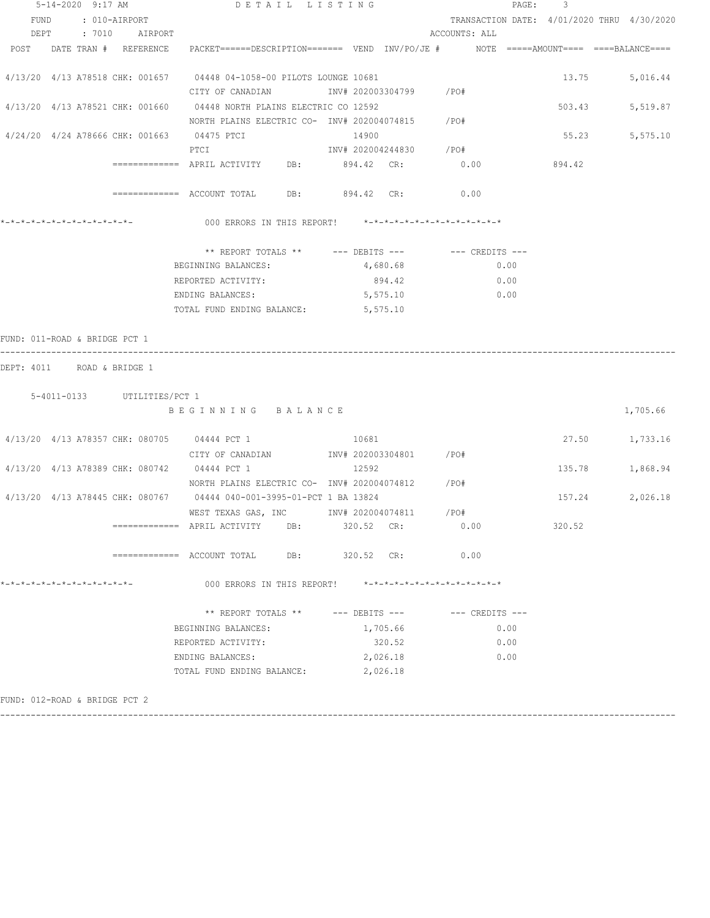|                                                                      | DETAIL LISTING                                                                           |            |                                | PAGE:<br>3                                 |          |
|----------------------------------------------------------------------|------------------------------------------------------------------------------------------|------------|--------------------------------|--------------------------------------------|----------|
| FUND<br>: 010-AIRPORT                                                |                                                                                          |            |                                | TRANSACTION DATE: 4/01/2020 THRU 4/30/2020 |          |
| DEPT : 7010 AIRPORT                                                  |                                                                                          |            | ACCOUNTS: ALL                  |                                            |          |
| POST DATE TRAN # REFERENCE                                           | PACKET======DESCRIPTION======= VEND INV/PO/JE #     NOTE =====AMOUNT==== ====BALANCE==== |            |                                |                                            |          |
| 4/13/20 4/13 A78518 CHK: 001657 04448 04-1058-00 PILOTS LOUNGE 10681 |                                                                                          |            |                                | 13.75                                      | 5,016.44 |
|                                                                      | CITY OF CANADIAN MOTHOM INV# 202003304799 / PO#                                          |            |                                |                                            |          |
| 4/13/20 4/13 A78521 CHK: 001660 04448 NORTH PLAINS ELECTRIC CO 12592 |                                                                                          |            |                                | 503.43                                     | 5,519.87 |
|                                                                      | NORTH PLAINS ELECTRIC CO- INV# 202004074815 / PO#                                        |            |                                |                                            |          |
| 4/24/20 4/24 A78666 CHK: 001663 04475 PTCI                           |                                                                                          | 14900      |                                | 55.23                                      | 5,575.10 |
|                                                                      | PTCI 7PTCI 202004244830 7PO#                                                             |            |                                |                                            |          |
|                                                                      | ============ APRIL ACTIVITY DB: 894.42 CR: 0.00 894.42                                   |            |                                |                                            |          |
|                                                                      | ============ ACCOUNT TOTAL DB: 894.42 CR: 0.00                                           |            |                                |                                            |          |
|                                                                      | 000 ERRORS IN THIS REPORT! *-*-*-*-*-*-*-*-*-*-*-*-*-*-                                  |            |                                |                                            |          |
|                                                                      | ** REPORT TOTALS ** --- DEBITS --- -- -- CREDITS ---                                     |            |                                |                                            |          |
|                                                                      | BEGINNING BALANCES:                                                                      | 4,680.68   | 0.00                           |                                            |          |
|                                                                      | REPORTED ACTIVITY:                                                                       | 894.42     | 0.00                           |                                            |          |
|                                                                      | ENDING BALANCES:                                                                         | 5,575.10   | 0.00                           |                                            |          |
|                                                                      | TOTAL FUND ENDING BALANCE: 5,575.10                                                      |            |                                |                                            |          |
| DEPT: 4011 ROAD & BRIDGE 1<br>5-4011-0133 UTILITIES/PCT 1            | BEGINNING BALANCE                                                                        |            |                                |                                            | 1,705.66 |
|                                                                      |                                                                                          |            |                                |                                            |          |
| 4/13/20 4/13 A78357 CHK: 080705 04444 PCT 1                          |                                                                                          | 10681      |                                | 27.50 1,733.16                             |          |
|                                                                      | CITY OF CANADIAN MOTHOM INV# 202003304801 / PO#                                          |            |                                |                                            |          |
| 4/13/20 4/13 A78389 CHK: 080742 04444 PCT 1                          |                                                                                          | 12592      |                                | 135.78                                     | 1,868.94 |
| 4/13/20 4/13 A78445 CHK: 080767 04444 040-001-3995-01-PCT 1 BA 13824 | NORTH PLAINS ELECTRIC CO- INV# 202004074812 / PO#                                        |            |                                | 157.24                                     | 2,026.18 |
|                                                                      | WEST TEXAS GAS. INC 1NV# 202004074811 / PO#                                              |            |                                |                                            |          |
|                                                                      |                                                                                          |            |                                |                                            |          |
|                                                                      | DB:                                                                                      | 320.52 CR: | 0.00                           | 320.52                                     |          |
|                                                                      | DB:<br>============= ACCOUNT TOTAL                                                       | 320.52 CR: | 0.00                           |                                            |          |
| *-*-*-*-*-*-*-*-*-*-*-*-*-*-                                         | 000 ERRORS IN THIS REPORT!                                                               |            | *_*_*_*_*_*_*_*_*_*_*_*_*_*_*_ |                                            |          |
|                                                                      | ** REPORT TOTALS ** $---$ DEBITS $---$                                                   |            | $---$ CREDITS $---$            |                                            |          |
|                                                                      | BEGINNING BALANCES:                                                                      | 1,705.66   | 0.00                           |                                            |          |
|                                                                      | REPORTED ACTIVITY:                                                                       | 320.52     | 0.00                           |                                            |          |
|                                                                      | ENDING BALANCES:                                                                         | 2,026.18   | 0.00                           |                                            |          |
|                                                                      | TOTAL FUND ENDING BALANCE:                                                               | 2,026.18   |                                |                                            |          |

FUND: 012-ROAD & BRIDGE PCT 2

------------------------------------------------------------------------------------------------------------------------------------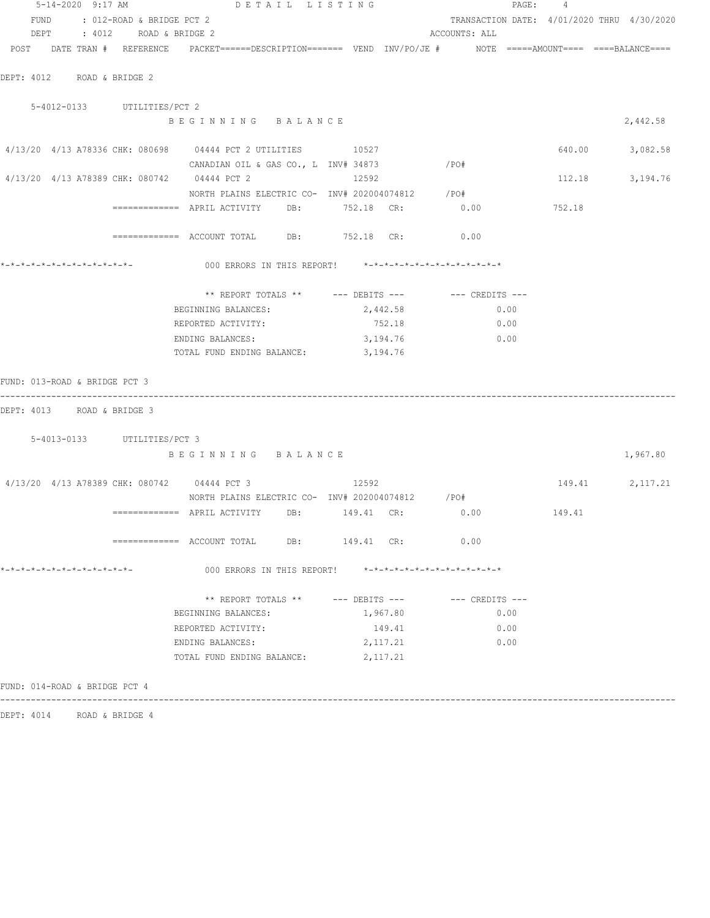| $5 - 14 - 2020$ 9:17 AM                                                                                         | DETAIL LISTING                                                                                       |                    | PAGE:                                                   | 4      |                 |
|-----------------------------------------------------------------------------------------------------------------|------------------------------------------------------------------------------------------------------|--------------------|---------------------------------------------------------|--------|-----------------|
| FUND : 012-ROAD & BRIDGE PCT 2                                                                                  |                                                                                                      |                    | TRANSACTION DATE: 4/01/2020 THRU 4/30/2020              |        |                 |
| DEPT : 4012 ROAD & BRIDGE 2                                                                                     |                                                                                                      |                    | ACCOUNTS: ALL                                           |        |                 |
| POST DATE TRAN # REFERENCE PACKET======DESCRIPTION======= VEND INV/PO/JE # NOTE =====AMOUNT==== ====BALANCE==== |                                                                                                      |                    |                                                         |        |                 |
|                                                                                                                 |                                                                                                      |                    |                                                         |        |                 |
| DEPT: 4012 ROAD & BRIDGE 2                                                                                      |                                                                                                      |                    |                                                         |        |                 |
|                                                                                                                 |                                                                                                      |                    |                                                         |        |                 |
| 5-4012-0133 UTILITIES/PCT 2                                                                                     |                                                                                                      |                    |                                                         |        |                 |
|                                                                                                                 | BEGINNING BALANCE                                                                                    |                    |                                                         |        | 2,442.58        |
|                                                                                                                 |                                                                                                      |                    |                                                         |        |                 |
| 4/13/20 4/13 A78336 CHK: 080698 04444 PCT 2 UTILITIES 10527                                                     |                                                                                                      |                    |                                                         |        | 640.00 3,082.58 |
|                                                                                                                 | CANADIAN OIL & GAS CO., L INV# 34873 / PO#                                                           |                    |                                                         |        | 112.18 3,194.76 |
| 4/13/20 4/13 A78389 CHK: 080742 04444 PCT 2 12592                                                               |                                                                                                      |                    |                                                         |        |                 |
|                                                                                                                 | NORTH PLAINS ELECTRIC CO- INV# 202004074812 / PO#<br>============ APRIL ACTIVITY DB: 752.18 CR: 0.00 |                    |                                                         | 752.18 |                 |
|                                                                                                                 |                                                                                                      |                    |                                                         |        |                 |
|                                                                                                                 | ============ ACCOUNT TOTAL DB: 752.18 CR: 0.00                                                       |                    |                                                         |        |                 |
|                                                                                                                 |                                                                                                      |                    |                                                         |        |                 |
|                                                                                                                 | 000 ERRORS IN THIS REPORT! *-*-*-*-*-*-*-*-*-*-*-*-*-*-                                              |                    |                                                         |        |                 |
|                                                                                                                 |                                                                                                      |                    |                                                         |        |                 |
|                                                                                                                 |                                                                                                      |                    |                                                         |        |                 |
|                                                                                                                 | BEGINNING BALANCES:                                                                                  | 2,442.58           | 0.00                                                    |        |                 |
|                                                                                                                 | REPORTED ACTIVITY:                                                                                   | 752.18             | 0.00                                                    |        |                 |
|                                                                                                                 | ENDING BALANCES: 3,194.76                                                                            |                    | $\sim 0.00$                                             |        |                 |
|                                                                                                                 | TOTAL FUND ENDING BALANCE: 3,194.76                                                                  |                    |                                                         |        |                 |
|                                                                                                                 |                                                                                                      |                    |                                                         |        |                 |
| FUND: 013-ROAD & BRIDGE PCT 3                                                                                   |                                                                                                      |                    |                                                         |        |                 |
|                                                                                                                 |                                                                                                      |                    |                                                         |        |                 |
| DEPT: 4013 ROAD & BRIDGE 3                                                                                      |                                                                                                      |                    |                                                         |        |                 |
|                                                                                                                 |                                                                                                      |                    |                                                         |        |                 |
| 5-4013-0133 UTILITIES/PCT 3                                                                                     |                                                                                                      |                    |                                                         |        |                 |
|                                                                                                                 | BEGINNING BALANCE                                                                                    |                    |                                                         |        | 1,967.80        |
|                                                                                                                 |                                                                                                      |                    |                                                         |        |                 |
| 4/13/20 4/13 A78389 CHK: 080742 04444 PCT 3 12592                                                               |                                                                                                      |                    |                                                         |        | 149.41 2,117.21 |
|                                                                                                                 | NORTH PLAINS ELECTRIC CO- INV# 202004074812 / PO#                                                    |                    |                                                         |        |                 |
|                                                                                                                 | =============  APRIL ACTIVITY   DB:     149.41  CR:       0.00         149.41                        |                    |                                                         |        |                 |
|                                                                                                                 | ============= ACCOUNT TOTAL DB: 149.41 CR:                                                           |                    | 0.00                                                    |        |                 |
|                                                                                                                 |                                                                                                      |                    |                                                         |        |                 |
| *_*_*_*_*_*_*_*_*_*_*_*_*_*_*_                                                                                  | 000 ERRORS IN THIS REPORT!                                                                           |                    | $* - * - * - * - * - * - * - * - * - * - * - * - * - *$ |        |                 |
|                                                                                                                 |                                                                                                      |                    |                                                         |        |                 |
|                                                                                                                 | ** REPORT TOTALS **                                                                                  | $---$ DEBITS $---$ | $---$ CREDITS $---$                                     |        |                 |
|                                                                                                                 | BEGINNING BALANCES:                                                                                  | 1,967.80           | 0.00                                                    |        |                 |
|                                                                                                                 | REPORTED ACTIVITY:                                                                                   | 149.41             | 0.00                                                    |        |                 |
|                                                                                                                 | ENDING BALANCES:                                                                                     | 2,117.21           | 0.00                                                    |        |                 |
|                                                                                                                 | TOTAL FUND ENDING BALANCE:                                                                           | 2, 117.21          |                                                         |        |                 |
|                                                                                                                 |                                                                                                      |                    |                                                         |        |                 |
| FUND: 014-ROAD & BRIDGE PCT 4                                                                                   |                                                                                                      |                    |                                                         |        |                 |
|                                                                                                                 |                                                                                                      |                    |                                                         |        |                 |

DEPT: 4014 ROAD & BRIDGE 4